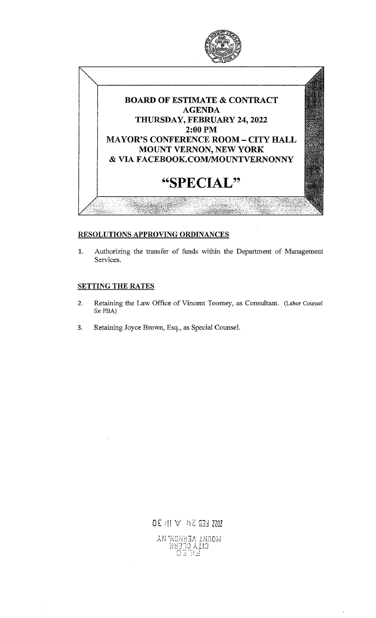

## RESOLUTIONS APPROVING ORDINANCES

1. Authorizing the transfer of funds within the Department of Management Services.

## **SETTING THE RATES**

- 2. Retaining the Law Office of Vincent Toomey, as Consultant. (Labor Counsel for PBA)
- 3. Retaining Joyce Brown, Esq., as Special Counsel.

 $0E : \mathbb{N} \vee \mathbb{N} \times \mathbb{N}$ : 30 WORRIAL AERROM KA ֿכוֹדָן לוֹבְּצּ<br>פּוֹדַ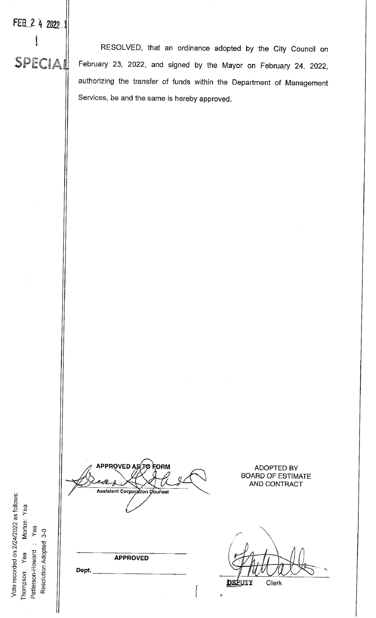RESOLVED, that an ordinance adopted by the City Council on SECIAL February 23, 2022, and signed by the Mayor on February 24, 2022, authorizing the transfer of funds within the Department of Management Services, be and the same is hereby approved.

**APPROVED A ORM** 747 **Assistant Corporation Counsel** 

**APPROVED** 

Dept.

**DEPUTY** Clerk

**ADOPTED BY BOARD OF ESTIMATE** AND CONTRACT

Vote recorded on 2/24/2022 as follows: Yea Morton: Yea Resolution Adopted 3-0 Patterson-Howard: Thompson: Yea

FEB 2 4 2022

į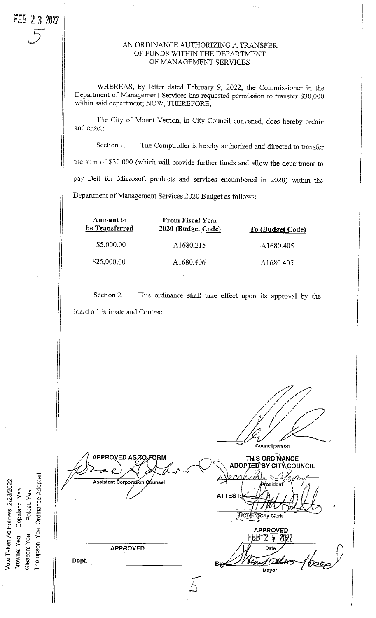## 5 AN ORDINANCE AUTHORIZING <sup>A</sup> TRANSFER OF FUNDS WITHIN THE DEPARTMENT OF MANAGEMENT SERVICES

WHEREAS, by letter dated February 9, 2022, the Commissioner in the Department of Management Services has requested permission to transfer \$30,000 within said department; NOW, THEREFORE,

The City of Mount Vernon, in City Council convened, does hereby ordain and enact:

Section 1. The Comptroller is hereby authorized and directed to transfer the sum of \$30,000 (which will provide further funds and allow the department to pay Dell for Microsoft products and services encumbered in 2020) within the Department of Management Services 2020 Budget as follows:

| Amount to<br>be Transferred<br>\$5,000.00 | <b>From Fiscal Year</b><br>2020 (Budget Code)<br>A1680.215 | To (Budget Code)<br>A1680.405 |
|-------------------------------------------|------------------------------------------------------------|-------------------------------|
|                                           |                                                            |                               |

Section 2. This ordinance shall take effect upon its approval by the Board of Estimate and Contract.

Vote Taken As Follows: 2/23/2022 Browne: Yea Copeland: Yea Poteat: Yea Gleason: Yea o o

Councilperson APPROVED AS TO FORM **THIS ORDINANCE** ADOPTED BY CITY COUNCIL Assistant Corporation Counsel .<br>Isider  $\mathcal{H}$ **ATTEST**  $\forall x$ **DeplayCity Clerk** APPROVED 24 ZD22 APPROVED Date Dept. <u>Vle</u>r **BAG** Mayor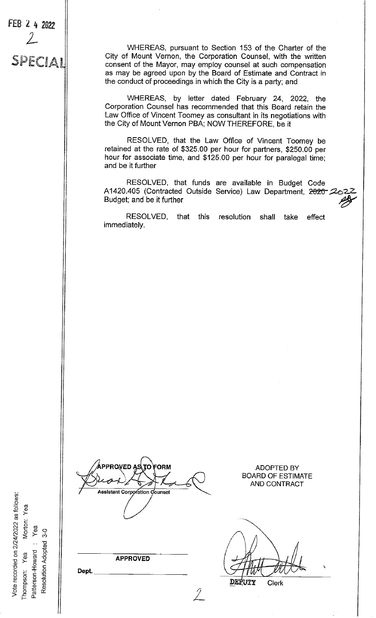Vote recorded on 2/24/2022 as follows: Morton: Yea Yea  $3-0$ Resolution Adopted Patterson-Howard Yea Thompson:

FEB 2 4 2022

J

SPECIAL

**PPROVED A** ORM **Assistant Corporation Counsel** 

**APPROVED** 

Dept.

WHEREAS, pursuant to Section 153 of the Charter of the City of Mount Vernon, the Corporation Counsel, with the written consent of the Mayor, may employ counsel at such compensation as may be agreed upon by the Board of Estimate and Contract in the conduct of proceedings in which the City is a party; and

WHEREAS, by letter dated February 24, 2022, the Corporation Counsel has recommended that this Board retain the Law Office of Vincent Toomey as consultant in its negotiations with the City of Mount Vernon PBA; NOW THEREFORE, be it

RESOLVED, that the Law Office of Vincent Toomey be retained at the rate of \$325.00 per hour for partners, \$250.00 per hour for associate time, and \$125.00 per hour for paralegal time; and be it further

RESOLVED, that funds are available in Budget Code A1420.405 (Contracted Outside Service) Law Department, 2020-2022 Budget; and be it further

RESOLVED, that this resolution shall take effect immediately.

**ADOPTED BY BOARD OF ESTIMATE** AND CONTRACT

DEPUTY Clerk